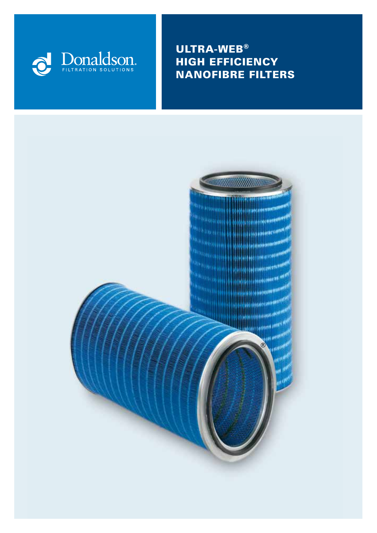

ULTRA-WEB® HIGH EFFICIENCY NANOFIBRE FILTERS

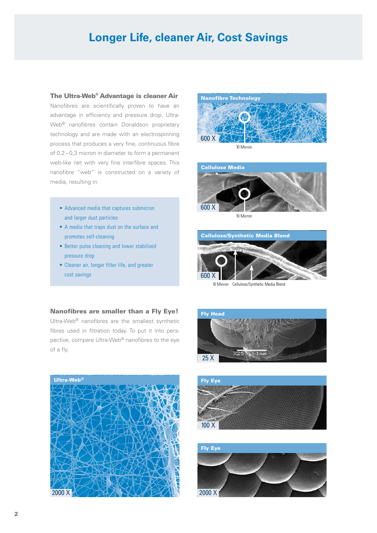# **Longer Life, cleaner Air, Cost Savings**

#### The Ultra-Web® Advantage is cleaner Air

Nanofibres are scientifically proven to have an advantage in efficiency and pressure drop. Ultra-Web® nanofibres contain Donaldson proprietary technology and are made with an electrospinning process that produces a very fine, continuous fibre of 0,2 – 0,3 micron in diameter to form a permanent web-like net with very fine interfibre spaces. This nanofibre "web" is constructed on a variety of media, resulting in:

- Advanced media that captures submicron and larger dust particles
- A media that traps dust on the surface and promotes self-cleaning
- Better pulse cleaning and lower stabilized pressure drop
- Cleaner air, longer filter life, and greater cost savings





10 Micron



10 Micron Cellulose/Synthetic Media Blend

#### Nanofibres are smaller than a Fly Eye!

Ultra-Web® nanofibres are the smallest synthetic fibres used in filtration today. To put it into perspective, compare Ultra-Web® nanofibres to the eye of a fly.







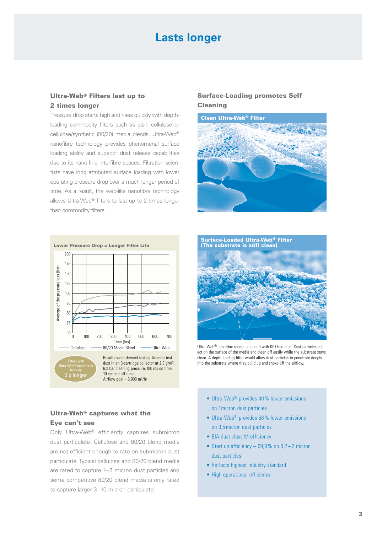## **Lasts longer**

#### Ultra-Web® Filters last up to 2 times longer

Pressure drop starts high and rises quickly with depthloading commodity filters such as plain cellulose or cellulose/synthetic (80/20) media blends. Ultra-Web® nanofibre technology provides phenomenal surface loading ability and superior dust release capabilities due to its nano-fine interfibre spaces. Filtration scientists have long attributed surface loading with lower operating pressure drop over a much longer period of time. As a result, the web-like nanofibre technology allows Ultra-Web® filters to last up to 2 times longer than commodity filters.



#### Ultra-Web® captures what the Eye can't see

Only Ultra-Web® efficiently captures submicron dust particulate. Cellulose and 80/20 blend media are not efficient enough to rate on submicron dust particulate. Typical cellulose and 80/20 blend media are rated to capture 1– 3 micron dust particles and some competitive 80/20 blend media is only rated to capture larger 3 –10 micron particulate.

#### Surface-Loading promotes Self Cleaning





Ultra-Web® nanofibre media is loaded with ISO fine dust. Dust particles collect on the surface of the media and clean off easily while the substrate stays clean. A depth-loading filter would allow dust particles to penetrate deeply into the substrate where they build up and choke off the airflow.

- Ultra-Web<sup>®</sup> provides 40% lower emissions on 1micron dust particles
- Ultra-Web<sup>®</sup> provides 58% lower emissions on 0,5micron dust particles
- BIA dust class M efficiency
- Start up efficiency  $-99.9%$  on  $0.2-2$  micron dust particles
- Reflects highest industry standard
- High operational efficiency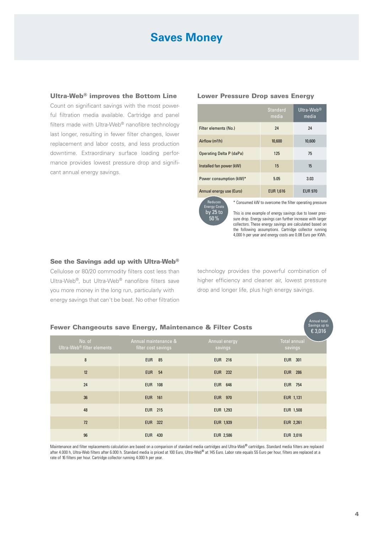# **Saves Money**

#### Ultra-Web<sup>®</sup> improves the Bottom Line Lower Pressure Drop saves Energy

Count on significant savings with the most powerful filtration media available. Cartridge and panel filters made with Ultra-Web® nanofibre technology last longer, resulting in fewer filter changes, lower replacement and labor costs, and less production downtime. Extraordinary surface loading performance provides lowest pressure drop and significant annual energy savings.

|                             | <b>Standard</b><br>media | Ultra-Web <sup>®</sup><br>media |
|-----------------------------|--------------------------|---------------------------------|
| Filter elements (No.)       | 24                       | 24                              |
| Airflow (m <sup>3</sup> /h) | 10,600                   | 10,600                          |
| Operating Delta P (daPa)    | 125                      | 75                              |
| Installed fan power (kW)    | 15                       | 15                              |
| Power consumption (kW)*     | 5.05                     | 3.03                            |
| Annual energy use (Euro)    | <b>EUR 1,616</b>         | <b>EUR 970</b>                  |

Reduces Energy Costs by 25 to 50%

\* Consumed kW to overcome the filter operating pressure

This is one example of energy savings due to lower pressure drop. Energy savings can further increase with larger collectors. These energy savings are calculated based on the following assumptions. Cartridge collector running 4,000 h per year and energy costs are 0.08 Euro per KWh.

Annual total

#### See the Savings add up with Ultra-Web®

Cellulose or 80/20 commodity filters cost less than Ultra-Web®, but Ultra-Web® nanofibre filters save you more money in the long run, particularly with energy savings that can't be beat. No other filtration technology provides the powerful combination of higher efficiency and cleaner air, lowest pressure drop and longer life, plus high energy savings.

| Savings up to<br>Fewer Changeouts save Energy, Maintenance & Filter Costs |                                                  |                                             |                          |                                |  |  |
|---------------------------------------------------------------------------|--------------------------------------------------|---------------------------------------------|--------------------------|--------------------------------|--|--|
|                                                                           | No. of<br>Ultra-Web <sup>®</sup> filter elements | Annual maintenance &<br>filter cost savings | Annual energy<br>savings | <b>Total annual</b><br>savings |  |  |
|                                                                           | 8                                                | <b>EUR 85</b>                               | <b>EUR 216</b>           | <b>EUR 301</b>                 |  |  |
|                                                                           | 12                                               | <b>EUR</b> 54                               | <b>EUR 232</b>           | <b>EUR 286</b>                 |  |  |
|                                                                           | 24                                               | <b>EUR 108</b>                              | <b>EUR 646</b>           | <b>EUR 754</b>                 |  |  |
|                                                                           | 36                                               | <b>EUR 161</b>                              | <b>EUR 970</b>           | EUR 1,131                      |  |  |
|                                                                           | 48                                               | <b>EUR 215</b>                              | EUR 1,293                | <b>EUR 1,508</b>               |  |  |
|                                                                           | 72                                               | <b>EUR 322</b>                              | EUR 1,939                | <b>EUR 2,261</b>               |  |  |
|                                                                           | 96                                               | <b>EUR 430</b>                              | <b>EUR 2,586</b>         | EUR 3,016                      |  |  |

Maintenance and filter replacements calculation are based on a comparison of standard media cartridges and Ultra-Web<sup>®</sup> cartridges. Standard media filters are replaced after 4.000 h, Ultra-Web filters after 6.000 h. Standard media is priced at 100 Euro, Ultra-Web® at 145 Euro. Labor rate equals 55 Euro per hour, filters are replaced at a rate of 16 filters per hour. Cartridge collector running 4.000 h per year.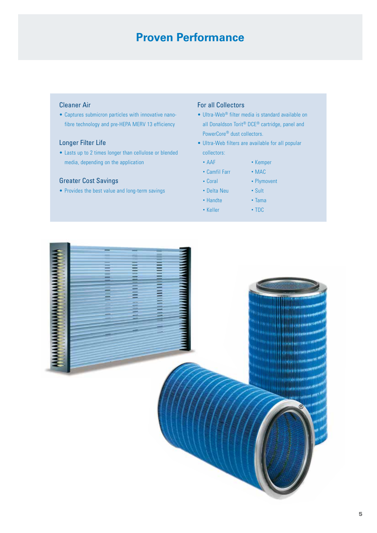# **Proven Performance**

#### Cleaner Air

• Captures submicron particles with innovative nanofibre technology and pre-HEPA MERV 13 efficiency

#### Longer Filter Life

• Lasts up to 2 times longer than cellulose or blended media, depending on the application

#### Greater Cost Savings

• Provides the best value and long-term savings

#### For all Collectors

- Ultra-Web® filter media is standard available on all Donaldson Torit® DCE® cartridge, panel and PowerCore® dust collectors.
- Ultra-Web filters are available for all popular collectors:
	- AAF Kemper
	- Camfil Farr MAC
	- Coral Plymovent
	- Delta Neu Sult
		-
	- Handte Tama
	- Keller TDC